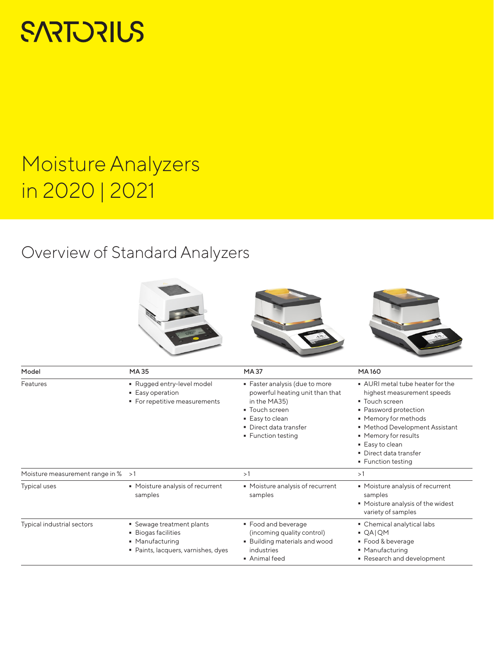# **SARTORIUS**

## Moisture Analyzers in 2020 | 2021

### Overview of Standard Analyzers



| Model                           | MA35                                                                                                            | <b>MA37</b>                                                                                                                                                            | <b>MA160</b>                                                                                                                                                                                                                                                   |
|---------------------------------|-----------------------------------------------------------------------------------------------------------------|------------------------------------------------------------------------------------------------------------------------------------------------------------------------|----------------------------------------------------------------------------------------------------------------------------------------------------------------------------------------------------------------------------------------------------------------|
| Features                        | Rugged entry-level model<br>• Easy operation<br>• For repetitive measurements                                   | · Faster analysis (due to more<br>powerful heating unit than that<br>in the MA35)<br>• Touch screen<br>■ Easy to clean<br>• Direct data transfer<br>• Function testing | • AURI metal tube heater for the<br>highest measurement speeds<br>• Touch screen<br>• Password protection<br>• Memory for methods<br>■ Method Development Assistant<br>• Memory for results<br>■ Easy to clean<br>• Direct data transfer<br>■ Function testing |
| Moisture measurement range in % | >1                                                                                                              | >1                                                                                                                                                                     | >1                                                                                                                                                                                                                                                             |
| <b>Typical uses</b>             | • Moisture analysis of recurrent<br>samples                                                                     | • Moisture analysis of recurrent<br>samples                                                                                                                            | • Moisture analysis of recurrent<br>samples<br>• Moisture analysis of the widest<br>variety of samples                                                                                                                                                         |
| Typical industrial sectors      | • Sewage treatment plants<br><b>Biogas facilities</b><br>• Manufacturing<br>· Paints, lacquers, varnishes, dyes | • Food and beverage<br>(incoming quality control)<br><b>Building materials and wood</b><br>industries<br>• Animal feed                                                 | • Chemical analytical labs<br>$QA$  QM<br>• Food & beverage<br>• Manufacturing<br>Research and development                                                                                                                                                     |